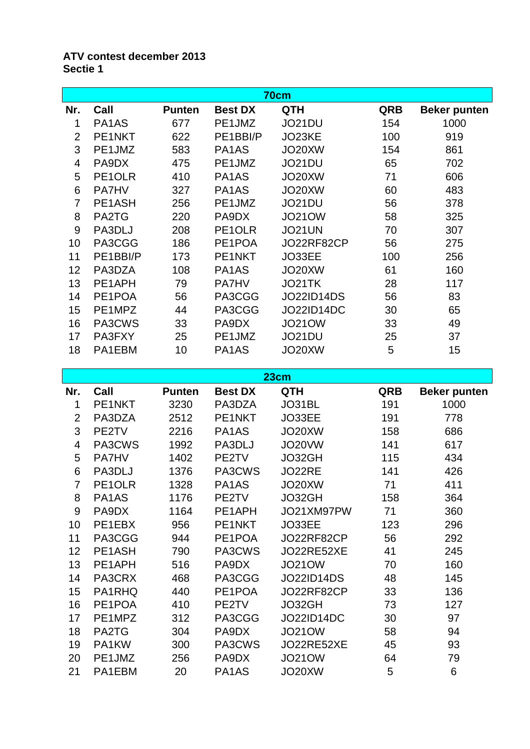## **ATV contest december 2013 Sectie 1**

| 70cm           |              |               |                                |               |     |                     |  |
|----------------|--------------|---------------|--------------------------------|---------------|-----|---------------------|--|
| Nr.            | Call         | <b>Punten</b> | <b>Best DX</b>                 | <b>QTH</b>    | QRB | <b>Beker punten</b> |  |
| 1              | PA1AS        | 677           | PE1JMZ                         | JO21DU        | 154 | 1000                |  |
| $\overline{2}$ | PE1NKT       | 622           | PE1BBI/P                       | JO23KE        | 100 | 919                 |  |
| 3              | PE1JMZ       | 583           | PA1AS                          | JO20XW        | 154 | 861                 |  |
| 4              | PA9DX        | 475           | PE1JMZ                         | JO21DU        | 65  | 702                 |  |
| 5              | PE1OLR       | 410           | PA1AS                          | JO20XW        | 71  | 606                 |  |
| 6              | <b>PA7HV</b> | 327           | PA <sub>1</sub> A <sub>S</sub> | JO20XW        | 60  | 483                 |  |
| 7              | PE1ASH       | 256           | PE1JMZ                         | JO21DU        | 56  | 378                 |  |
| 8              | PA2TG        | 220           | PA9DX                          | <b>JO21OW</b> | 58  | 325                 |  |
| 9              | PA3DLJ       | 208           | PE1OLR                         | <b>JO21UN</b> | 70  | 307                 |  |
| 10             | PA3CGG       | 186           | PE1POA                         | JO22RF82CP    | 56  | 275                 |  |
| 11             | PE1BBI/P     | 173           | PE1NKT                         | JO33EE        | 100 | 256                 |  |
| 12             | PA3DZA       | 108           | PA1AS                          | JO20XW        | 61  | 160                 |  |
| 13             | PE1APH       | 79            | <b>PA7HV</b>                   | JO21TK        | 28  | 117                 |  |
| 14             | PE1POA       | 56            | PA3CGG                         | JO22ID14DS    | 56  | 83                  |  |
| 15             | PE1MPZ       | 44            | PA3CGG                         | JO22ID14DC    | 30  | 65                  |  |
| 16             | PA3CWS       | 33            | PA9DX                          | <b>JO21OW</b> | 33  | 49                  |  |
| 17             | PA3FXY       | 25            | PE1JMZ                         | JO21DU        | 25  | 37                  |  |
| 18             | PA1EBM       | 10            | PA1AS                          | JO20XW        | 5   | 15                  |  |

**23cm Nr. Call Punten Best DX QTH QRB Beker punten** PE1NKT 3230 PA3DZA JO31BL 191 1000 PA3DZA 2512 PE1NKT JO33EE 191 778 PE2TV 2216 PA1AS JO20XW 158 686 PA3CWS 1992 PA3DLJ JO20VW 141 617 PA7HV 1402 PE2TV JO32GH 115 434 PA3DLJ 1376 PA3CWS JO22RE 141 426 PE1OLR 1328 PA1AS JO20XW 71 411 PA1AS 1176 PE2TV JO32GH 158 364 PA9DX 1164 PE1APH JO21XM97PW 71 360 10 PE1EBX 956 PE1NKT JO33EE 123 296 PA3CGG 944 PE1POA JO22RF82CP 56 292 PE1ASH 790 PA3CWS JO22RE52XE 41 245 PE1APH 516 PA9DX JO21OW 70 160 14 PA3CRX 468 PA3CGG JO22ID14DS 48 145 PA1RHQ 440 PE1POA JO22RF82CP 33 136 PE1POA 410 PE2TV JO32GH 73 127 PE1MPZ 312 PA3CGG JO22ID14DC 30 97 PA2TG 304 PA9DX JO21OW 58 94 PA1KW 300 PA3CWS JO22RE52XE 45 93 PE1JMZ 256 PA9DX JO21OW 64 79 PA1EBM 20 PA1AS JO20XW 5 6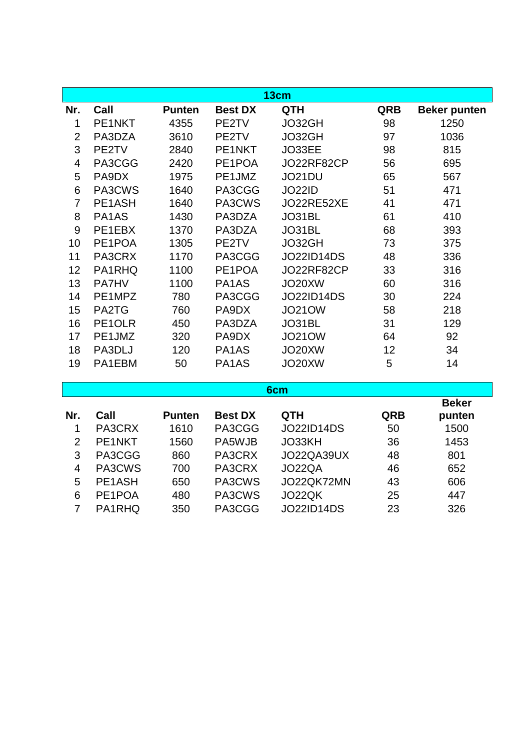| 13cm           |              |               |                |                   |            |                     |  |
|----------------|--------------|---------------|----------------|-------------------|------------|---------------------|--|
| Nr.            | Call         | <b>Punten</b> | <b>Best DX</b> | <b>QTH</b>        | <b>QRB</b> | <b>Beker punten</b> |  |
| 1              | PE1NKT       | 4355          | PE2TV          | JO32GH            | 98         | 1250                |  |
| $\overline{2}$ | PA3DZA       | 3610          | PE2TV          | JO32GH            | 97         | 1036                |  |
| 3              | PE2TV        | 2840          | PE1NKT         | JO33EE            | 98         | 815                 |  |
| 4              | PA3CGG       | 2420          | PE1POA         | JO22RF82CP        | 56         | 695                 |  |
| 5              | PA9DX        | 1975          | PE1JMZ         | JO21DU            | 65         | 567                 |  |
| 6              | PA3CWS       | 1640          | PA3CGG         | <b>JO22ID</b>     | 51         | 471                 |  |
| $\overline{7}$ | PE1ASH       | 1640          | PA3CWS         | JO22RE52XE        | 41         | 471                 |  |
| 8              | PA1AS        | 1430          | PA3DZA         | JO31BL            | 61         | 410                 |  |
| 9              | PE1EBX       | 1370          | PA3DZA         | JO31BL            | 68         | 393                 |  |
| 10             | PE1POA       | 1305          | PE2TV          | JO32GH            | 73         | 375                 |  |
| 11             | PA3CRX       | 1170          | PA3CGG         | <b>JO22ID14DS</b> | 48         | 336                 |  |
| 12             | PA1RHQ       | 1100          | PE1POA         | JO22RF82CP        | 33         | 316                 |  |
| 13             | <b>PA7HV</b> | 1100          | PA1AS          | JO20XW            | 60         | 316                 |  |
| 14             | PE1MPZ       | 780           | PA3CGG         | <b>JO22ID14DS</b> | 30         | 224                 |  |
| 15             | PA2TG        | 760           | PA9DX          | <b>JO21OW</b>     | 58         | 218                 |  |
| 16             | PE1OLR       | 450           | PA3DZA         | JO31BL            | 31         | 129                 |  |
| 17             | PE1JMZ       | 320           | PA9DX          | <b>JO21OW</b>     | 64         | 92                  |  |
| 18             | PA3DLJ       | 120           | PA1AS          | JO20XW            | 12         | 34                  |  |
| 19             | PA1EBM       | 50            | PA1AS          | JO20XW            | 5          | 14                  |  |

## **6cm**

|               |        |               |                |                   |            | <b>Beker</b> |
|---------------|--------|---------------|----------------|-------------------|------------|--------------|
| Nr.           | Call   | <b>Punten</b> | <b>Best DX</b> | <b>QTH</b>        | <b>QRB</b> | punten       |
|               | PA3CRX | 1610          | PA3CGG         | <b>JO22ID14DS</b> | 50         | 1500         |
| $\mathcal{P}$ | PE1NKT | 1560          | PA5WJB         | JO33KH            | 36         | 1453         |
| 3             | PA3CGG | 860           | PA3CRX         | JO22QA39UX        | 48         | 801          |
| 4             | PA3CWS | 700           | PA3CRX         | JO22QA            | 46         | 652          |
| 5             | PE1ASH | 650           | PA3CWS         | JO22QK72MN        | 43         | 606          |
| 6             | PE1POA | 480           | PA3CWS         | JO22QK            | 25         | 447          |
|               | PA1RHQ | 350           | PA3CGG         | <b>JO22ID14DS</b> | 23         | 326          |